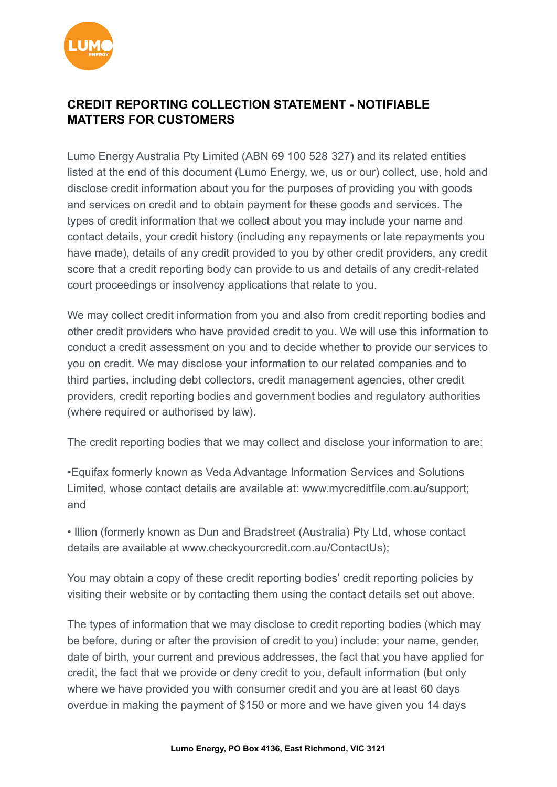

## **CREDIT REPORTING COLLECTION STATEMENT - NOTIFIABLE MATTERS FOR CUSTOMERS**

Lumo Energy Australia Pty Limited (ABN 69 100 528 327) and its related entities listed at the end of this document (Lumo Energy, we, us or our) collect, use, hold and disclose credit information about you for the purposes of providing you with goods and services on credit and to obtain payment for these goods and services. The types of credit information that we collect about you may include your name and contact details, your credit history (including any repayments or late repayments you have made), details of any credit provided to you by other credit providers, any credit score that a credit reporting body can provide to us and details of any credit-related court proceedings or insolvency applications that relate to you.

We may collect credit information from you and also from credit reporting bodies and other credit providers who have provided credit to you. We will use this information to conduct a credit assessment on you and to decide whether to provide our services to you on credit. We may disclose your information to our related companies and to third parties, including debt collectors, credit management agencies, other credit providers, credit reporting bodies and government bodies and regulatory authorities (where required or authorised by law).

The credit reporting bodies that we may collect and disclose your information to are:

•Equifax formerly known as Veda Advantage Information Services and Solutions Limited, whose contact details are available at: [www.mycreditfile.com.au/support;](http://www.mycreditfile.com.au/support) and

• Illion (formerly known as Dun and Bradstreet (Australia) Pty Ltd, whose contact details are available at [www.checkyourcredit.com.au/ContactUs](http://www.checkyourcredit.com.au/ContactUs));

You may obtain a copy of these credit reporting bodies' credit reporting policies by visiting their website or by contacting them using the contact details set out above.

The types of information that we may disclose to credit reporting bodies (which may be before, during or after the provision of credit to you) include: your name, gender, date of birth, your current and previous addresses, the fact that you have applied for credit, the fact that we provide or deny credit to you, default information (but only where we have provided you with consumer credit and you are at least 60 days overdue in making the payment of \$150 or more and we have given you 14 days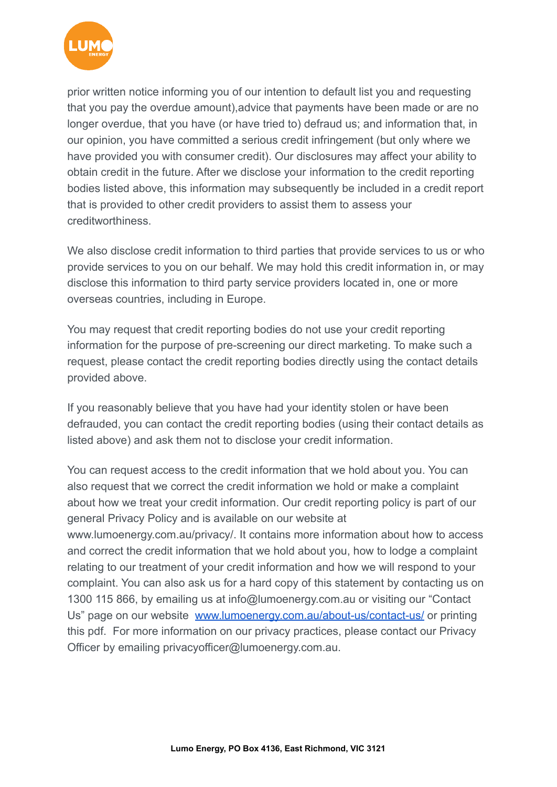

prior written notice informing you of our intention to default list you and requesting that you pay the overdue amount),advice that payments have been made or are no longer overdue, that you have (or have tried to) defraud us; and information that, in our opinion, you have committed a serious credit infringement (but only where we have provided you with consumer credit). Our disclosures may affect your ability to obtain credit in the future. After we disclose your information to the credit reporting bodies listed above, this information may subsequently be included in a credit report that is provided to other credit providers to assist them to assess your creditworthiness.

We also disclose credit information to third parties that provide services to us or who provide services to you on our behalf. We may hold this credit information in, or may disclose this information to third party service providers located in, one or more overseas countries, including in Europe.

You may request that credit reporting bodies do not use your credit reporting information for the purpose of pre-screening our direct marketing. To make such a request, please contact the credit reporting bodies directly using the contact details provided above.

If you reasonably believe that you have had your identity stolen or have been defrauded, you can contact the credit reporting bodies (using their contact details as listed above) and ask them not to disclose your credit information.

You can request access to the credit information that we hold about you. You can also request that we correct the credit information we hold or make a complaint about how we treat your credit information. Our credit reporting policy is part of our general Privacy Policy and is available on our website at www.lumoenergy.com.au/privacy/. It contains more information about how to access and correct the credit information that we hold about you, how to lodge a complaint relating to our treatment of your credit information and how we will respond to your complaint. You can also ask us for a hard copy of this statement by contacting us on 1300 115 866, by emailing us at info@lumoenergy.com.au or visiting our "Contact Us" page on our website [www.lumoenergy.com.au/about-us/contact-us/](http://www.lumoenergy.com.au/about-us/contact-us/) or printing this pdf. For more information on our privacy practices, please contact our Privacy Officer by emailing privacyofficer@lumoenergy.com.au.